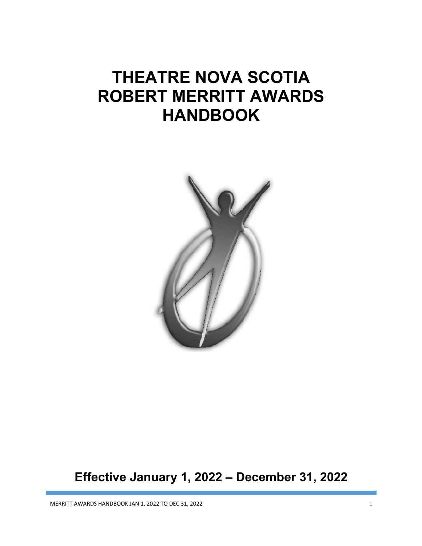# **THEATRE NOVA SCOTIA ROBERT MERRITT AWARDS HANDBOOK**



## **Effective January 1, 2022 – December 31, 2022**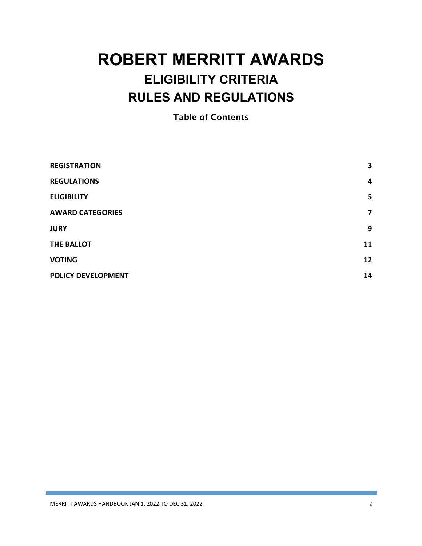## **ROBERT MERRITT AWARDS ELIGIBILITY CRITERIA RULES AND REGULATIONS**

Table of Contents

| <b>REGISTRATION</b>       | 3              |
|---------------------------|----------------|
| <b>REGULATIONS</b>        | $\overline{4}$ |
| <b>ELIGIBILITY</b>        | 5              |
| <b>AWARD CATEGORIES</b>   | 7              |
| <b>JURY</b>               | 9              |
| THE BALLOT                | 11             |
| <b>VOTING</b>             | 12             |
| <b>POLICY DEVELOPMENT</b> | 14             |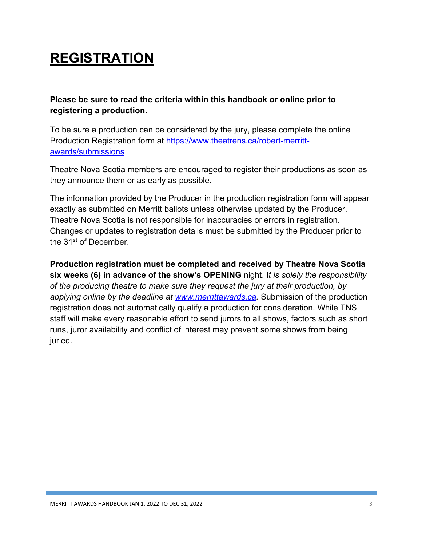## **REGISTRATION**

**Please be sure to read the criteria within this handbook or online prior to registering a production.**

To be sure a production can be considered by the jury, please complete the online Production Registration form at https://www.theatrens.ca/robert-merrittawards/submissions

Theatre Nova Scotia members are encouraged to register their productions as soon as they announce them or as early as possible.

The information provided by the Producer in the production registration form will appear exactly as submitted on Merritt ballots unless otherwise updated by the Producer. Theatre Nova Scotia is not responsible for inaccuracies or errors in registration. Changes or updates to registration details must be submitted by the Producer prior to the 31<sup>st</sup> of December.

**Production registration must be completed and received by Theatre Nova Scotia six weeks (6) in advance of the show's OPENING** night. I*t is solely the responsibility of the producing theatre to make sure they request the jury at their production, by applying online by the deadline at www.merrittawards.ca.* Submission of the production registration does not automatically qualify a production for consideration. While TNS staff will make every reasonable effort to send jurors to all shows, factors such as short runs, juror availability and conflict of interest may prevent some shows from being juried.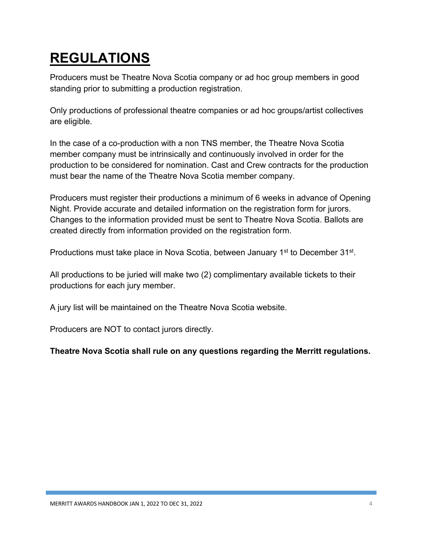## **REGULATIONS**

Producers must be Theatre Nova Scotia company or ad hoc group members in good standing prior to submitting a production registration.

Only productions of professional theatre companies or ad hoc groups/artist collectives are eligible.

In the case of a co-production with a non TNS member, the Theatre Nova Scotia member company must be intrinsically and continuously involved in order for the production to be considered for nomination. Cast and Crew contracts for the production must bear the name of the Theatre Nova Scotia member company.

Producers must register their productions a minimum of 6 weeks in advance of Opening Night. Provide accurate and detailed information on the registration form for jurors. Changes to the information provided must be sent to Theatre Nova Scotia. Ballots are created directly from information provided on the registration form.

Productions must take place in Nova Scotia, between January 1<sup>st</sup> to December 31<sup>st</sup>.

All productions to be juried will make two (2) complimentary available tickets to their productions for each jury member.

A jury list will be maintained on the Theatre Nova Scotia website.

Producers are NOT to contact jurors directly.

**Theatre Nova Scotia shall rule on any questions regarding the Merritt regulations.**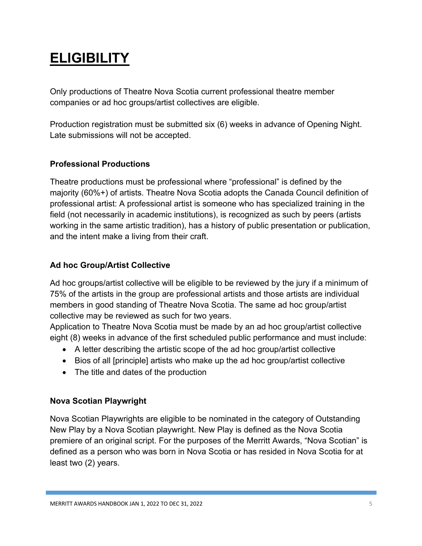## **ELIGIBILITY**

Only productions of Theatre Nova Scotia current professional theatre member companies or ad hoc groups/artist collectives are eligible.

Production registration must be submitted six (6) weeks in advance of Opening Night. Late submissions will not be accepted.

### **Professional Productions**

Theatre productions must be professional where "professional" is defined by the majority (60%+) of artists. Theatre Nova Scotia adopts the Canada Council definition of professional artist: A professional artist is someone who has specialized training in the field (not necessarily in academic institutions), is recognized as such by peers (artists working in the same artistic tradition), has a history of public presentation or publication, and the intent make a living from their craft.

### **Ad hoc Group/Artist Collective**

Ad hoc groups/artist collective will be eligible to be reviewed by the jury if a minimum of 75% of the artists in the group are professional artists and those artists are individual members in good standing of Theatre Nova Scotia. The same ad hoc group/artist collective may be reviewed as such for two years.

Application to Theatre Nova Scotia must be made by an ad hoc group/artist collective eight (8) weeks in advance of the first scheduled public performance and must include:

- A letter describing the artistic scope of the ad hoc group/artist collective
- Bios of all [principle] artists who make up the ad hoc group/artist collective
- The title and dates of the production

### **Nova Scotian Playwright**

Nova Scotian Playwrights are eligible to be nominated in the category of Outstanding New Play by a Nova Scotian playwright. New Play is defined as the Nova Scotia premiere of an original script. For the purposes of the Merritt Awards, "Nova Scotian" is defined as a person who was born in Nova Scotia or has resided in Nova Scotia for at least two (2) years.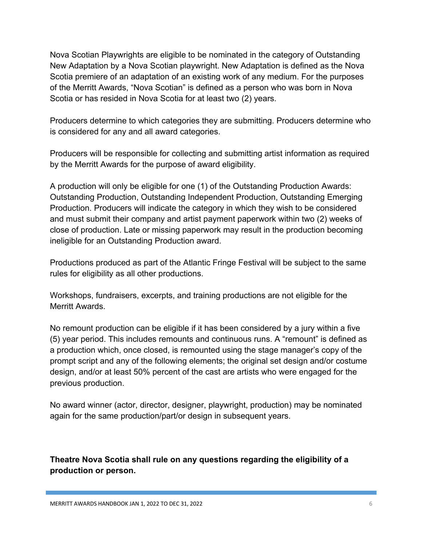Nova Scotian Playwrights are eligible to be nominated in the category of Outstanding New Adaptation by a Nova Scotian playwright. New Adaptation is defined as the Nova Scotia premiere of an adaptation of an existing work of any medium. For the purposes of the Merritt Awards, "Nova Scotian" is defined as a person who was born in Nova Scotia or has resided in Nova Scotia for at least two (2) years.

Producers determine to which categories they are submitting. Producers determine who is considered for any and all award categories.

Producers will be responsible for collecting and submitting artist information as required by the Merritt Awards for the purpose of award eligibility.

A production will only be eligible for one (1) of the Outstanding Production Awards: Outstanding Production, Outstanding Independent Production, Outstanding Emerging Production. Producers will indicate the category in which they wish to be considered and must submit their company and artist payment paperwork within two (2) weeks of close of production. Late or missing paperwork may result in the production becoming ineligible for an Outstanding Production award.

Productions produced as part of the Atlantic Fringe Festival will be subject to the same rules for eligibility as all other productions.

Workshops, fundraisers, excerpts, and training productions are not eligible for the Merritt Awards.

No remount production can be eligible if it has been considered by a jury within a five (5) year period. This includes remounts and continuous runs. A "remount" is defined as a production which, once closed, is remounted using the stage manager's copy of the prompt script and any of the following elements; the original set design and/or costume design, and/or at least 50% percent of the cast are artists who were engaged for the previous production.

No award winner (actor, director, designer, playwright, production) may be nominated again for the same production/part/or design in subsequent years.

**Theatre Nova Scotia shall rule on any questions regarding the eligibility of a production or person.**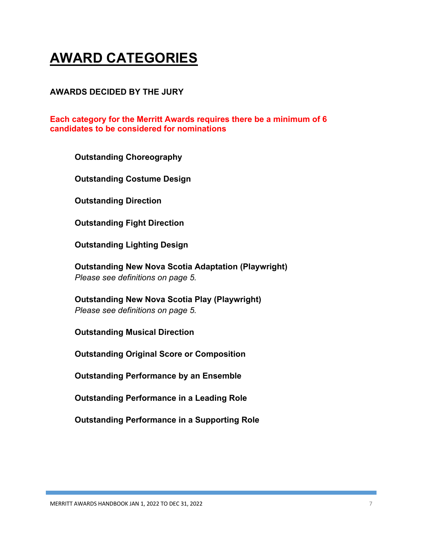## **AWARD CATEGORIES**

#### **AWARDS DECIDED BY THE JURY**

#### **Each category for the Merritt Awards requires there be a minimum of 6 candidates to be considered for nominations**

**Outstanding Choreography**

**Outstanding Costume Design**

**Outstanding Direction**

**Outstanding Fight Direction**

**Outstanding Lighting Design**

**Outstanding New Nova Scotia Adaptation (Playwright)** *Please see definitions on page 5.*

**Outstanding New Nova Scotia Play (Playwright)** *Please see definitions on page 5.*

**Outstanding Musical Direction**

**Outstanding Original Score or Composition** 

**Outstanding Performance by an Ensemble**

**Outstanding Performance in a Leading Role**

**Outstanding Performance in a Supporting Role**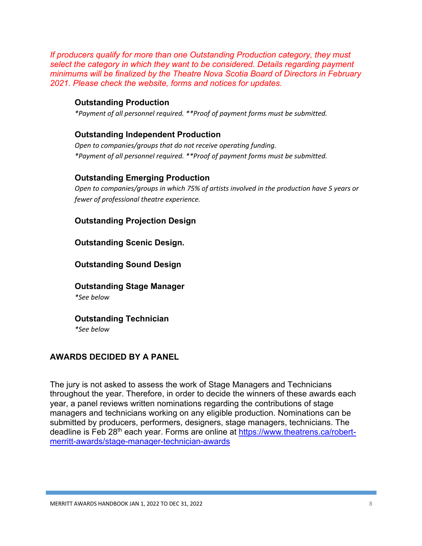*If producers qualify for more than one Outstanding Production category, they must select the category in which they want to be considered. Details regarding payment minimums will be finalized by the Theatre Nova Scotia Board of Directors in February 2021. Please check the website, forms and notices for updates.*

#### **Outstanding Production**

*\*Payment of all personnel required. \*\*Proof of payment forms must be submitted.*

#### **Outstanding Independent Production**

*Open to companies/groups that do not receive operating funding. \*Payment of all personnel required. \*\*Proof of payment forms must be submitted.*

#### **Outstanding Emerging Production**

*Open to companies/groups in which 75% of artists involved in the production have 5 years or fewer of professional theatre experience.*

#### **Outstanding Projection Design**

#### **Outstanding Scenic Design.**

#### **Outstanding Sound Design**

#### **Outstanding Stage Manager**

*\*See below*

## **Outstanding Technician**

*\*See below*

#### **AWARDS DECIDED BY A PANEL**

The jury is not asked to assess the work of Stage Managers and Technicians throughout the year. Therefore, in order to decide the winners of these awards each year, a panel reviews written nominations regarding the contributions of stage managers and technicians working on any eligible production. Nominations can be submitted by producers, performers, designers, stage managers, technicians. The deadline is Feb 28<sup>th</sup> each year. Forms are online at https://www.theatrens.ca/robertmerritt-awards/stage-manager-technician-awards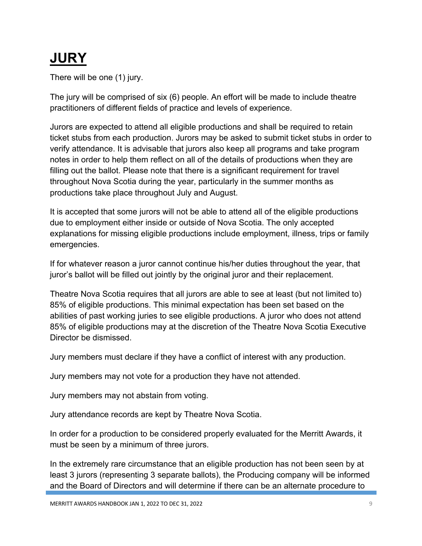## **JURY**

There will be one (1) jury.

The jury will be comprised of six (6) people. An effort will be made to include theatre practitioners of different fields of practice and levels of experience.

Jurors are expected to attend all eligible productions and shall be required to retain ticket stubs from each production. Jurors may be asked to submit ticket stubs in order to verify attendance. It is advisable that jurors also keep all programs and take program notes in order to help them reflect on all of the details of productions when they are filling out the ballot. Please note that there is a significant requirement for travel throughout Nova Scotia during the year, particularly in the summer months as productions take place throughout July and August.

It is accepted that some jurors will not be able to attend all of the eligible productions due to employment either inside or outside of Nova Scotia. The only accepted explanations for missing eligible productions include employment, illness, trips or family emergencies.

If for whatever reason a juror cannot continue his/her duties throughout the year, that juror's ballot will be filled out jointly by the original juror and their replacement.

Theatre Nova Scotia requires that all jurors are able to see at least (but not limited to) 85% of eligible productions. This minimal expectation has been set based on the abilities of past working juries to see eligible productions. A juror who does not attend 85% of eligible productions may at the discretion of the Theatre Nova Scotia Executive Director be dismissed.

Jury members must declare if they have a conflict of interest with any production.

Jury members may not vote for a production they have not attended.

Jury members may not abstain from voting.

Jury attendance records are kept by Theatre Nova Scotia.

In order for a production to be considered properly evaluated for the Merritt Awards, it must be seen by a minimum of three jurors.

In the extremely rare circumstance that an eligible production has not been seen by at least 3 jurors (representing 3 separate ballots), the Producing company will be informed and the Board of Directors and will determine if there can be an alternate procedure to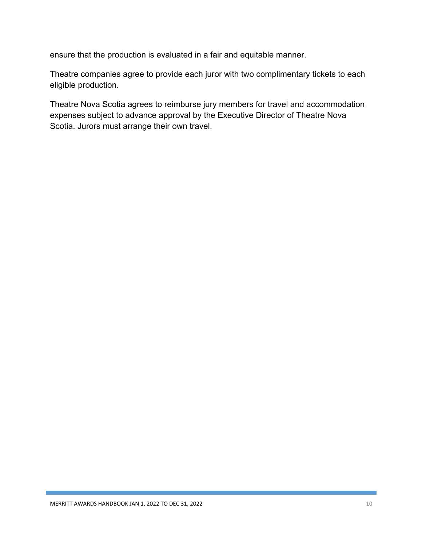ensure that the production is evaluated in a fair and equitable manner.

Theatre companies agree to provide each juror with two complimentary tickets to each eligible production.

Theatre Nova Scotia agrees to reimburse jury members for travel and accommodation expenses subject to advance approval by the Executive Director of Theatre Nova Scotia. Jurors must arrange their own travel.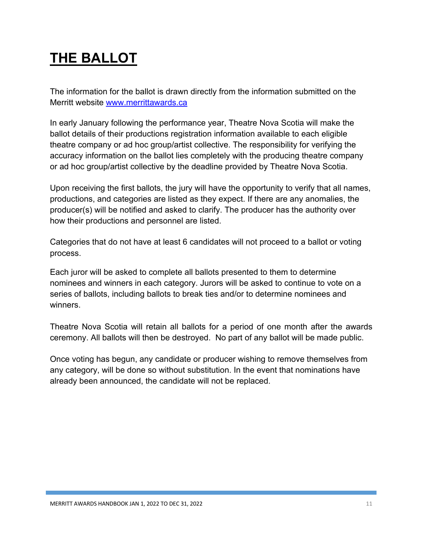## **THE BALLOT**

The information for the ballot is drawn directly from the information submitted on the Merritt website www.merrittawards.ca

In early January following the performance year, Theatre Nova Scotia will make the ballot details of their productions registration information available to each eligible theatre company or ad hoc group/artist collective. The responsibility for verifying the accuracy information on the ballot lies completely with the producing theatre company or ad hoc group/artist collective by the deadline provided by Theatre Nova Scotia.

Upon receiving the first ballots, the jury will have the opportunity to verify that all names, productions, and categories are listed as they expect. If there are any anomalies, the producer(s) will be notified and asked to clarify. The producer has the authority over how their productions and personnel are listed.

Categories that do not have at least 6 candidates will not proceed to a ballot or voting process.

Each juror will be asked to complete all ballots presented to them to determine nominees and winners in each category. Jurors will be asked to continue to vote on a series of ballots, including ballots to break ties and/or to determine nominees and winners.

Theatre Nova Scotia will retain all ballots for a period of one month after the awards ceremony. All ballots will then be destroyed. No part of any ballot will be made public.

Once voting has begun, any candidate or producer wishing to remove themselves from any category, will be done so without substitution. In the event that nominations have already been announced, the candidate will not be replaced.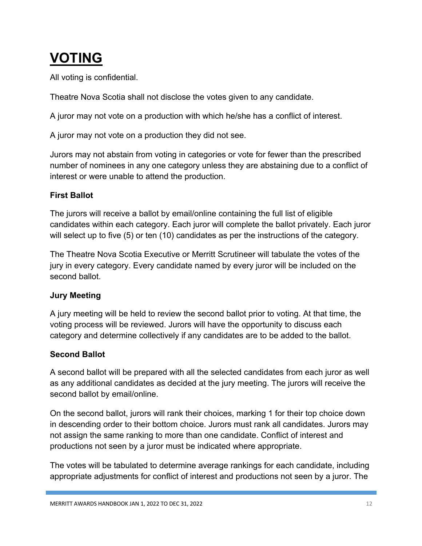## **VOTING**

All voting is confidential.

Theatre Nova Scotia shall not disclose the votes given to any candidate.

A juror may not vote on a production with which he/she has a conflict of interest.

A juror may not vote on a production they did not see.

Jurors may not abstain from voting in categories or vote for fewer than the prescribed number of nominees in any one category unless they are abstaining due to a conflict of interest or were unable to attend the production.

## **First Ballot**

The jurors will receive a ballot by email/online containing the full list of eligible candidates within each category. Each juror will complete the ballot privately. Each juror will select up to five (5) or ten (10) candidates as per the instructions of the category.

The Theatre Nova Scotia Executive or Merritt Scrutineer will tabulate the votes of the jury in every category. Every candidate named by every juror will be included on the second ballot.

## **Jury Meeting**

A jury meeting will be held to review the second ballot prior to voting. At that time, the voting process will be reviewed. Jurors will have the opportunity to discuss each category and determine collectively if any candidates are to be added to the ballot.

## **Second Ballot**

A second ballot will be prepared with all the selected candidates from each juror as well as any additional candidates as decided at the jury meeting. The jurors will receive the second ballot by email/online.

On the second ballot, jurors will rank their choices, marking 1 for their top choice down in descending order to their bottom choice. Jurors must rank all candidates. Jurors may not assign the same ranking to more than one candidate. Conflict of interest and productions not seen by a juror must be indicated where appropriate.

The votes will be tabulated to determine average rankings for each candidate, including appropriate adjustments for conflict of interest and productions not seen by a juror. The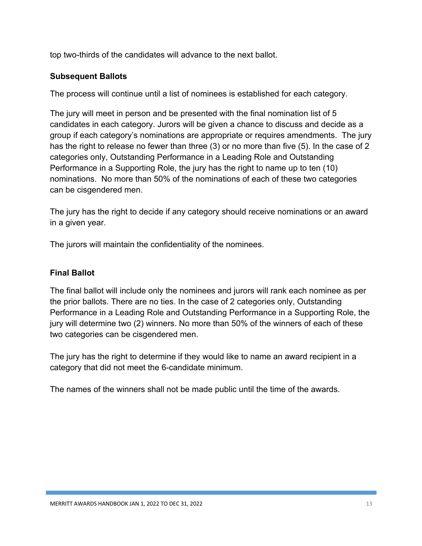top two-thirds of the candidates will advance to the next ballot.

### **Subsequent Ballots**

The process will continue until a list of nominees is established for each category.

The jury will meet in person and be presented with the final nomination list of 5 candidates in each category. Jurors will be given a chance to discuss and decide as a group if each category's nominations are appropriate or requires amendments. The jury has the right to release no fewer than three (3) or no more than five (5). In the case of 2 categories only, Outstanding Performance in a Leading Role and Outstanding Performance in a Supporting Role, the jury has the right to name up to ten (10) nominations. No more than 50% of the nominations of each of these two categories can be cisgendered men.

The jury has the right to decide if any category should receive nominations or an award in a given year.

The jurors will maintain the confidentiality of the nominees.

### **Final Ballot**

The final ballot will include only the nominees and jurors will rank each nominee as per the prior ballots. There are no ties. In the case of 2 categories only, Outstanding Performance in a Leading Role and Outstanding Performance in a Supporting Role, the jury will determine two (2) winners. No more than 50% of the winners of each of these two categories can be cisgendered men.

The jury has the right to determine if they would like to name an award recipient in a category that did not meet the 6-candidate minimum.

The names of the winners shall not be made public until the time of the awards.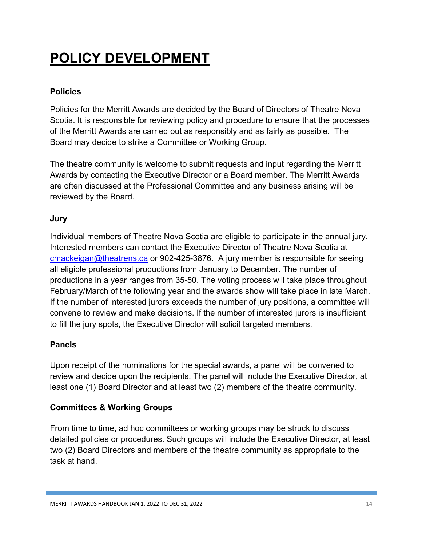## **POLICY DEVELOPMENT**

### **Policies**

Policies for the Merritt Awards are decided by the Board of Directors of Theatre Nova Scotia. It is responsible for reviewing policy and procedure to ensure that the processes of the Merritt Awards are carried out as responsibly and as fairly as possible. The Board may decide to strike a Committee or Working Group.

The theatre community is welcome to submit requests and input regarding the Merritt Awards by contacting the Executive Director or a Board member. The Merritt Awards are often discussed at the Professional Committee and any business arising will be reviewed by the Board.

### **Jury**

Individual members of Theatre Nova Scotia are eligible to participate in the annual jury. Interested members can contact the Executive Director of Theatre Nova Scotia at cmackeigan@theatrens.ca or 902-425-3876. A jury member is responsible for seeing all eligible professional productions from January to December. The number of productions in a year ranges from 35-50. The voting process will take place throughout February/March of the following year and the awards show will take place in late March. If the number of interested jurors exceeds the number of jury positions, a committee will convene to review and make decisions. If the number of interested jurors is insufficient to fill the jury spots, the Executive Director will solicit targeted members.

### **Panels**

Upon receipt of the nominations for the special awards, a panel will be convened to review and decide upon the recipients. The panel will include the Executive Director, at least one (1) Board Director and at least two (2) members of the theatre community.

### **Committees & Working Groups**

From time to time, ad hoc committees or working groups may be struck to discuss detailed policies or procedures. Such groups will include the Executive Director, at least two (2) Board Directors and members of the theatre community as appropriate to the task at hand.